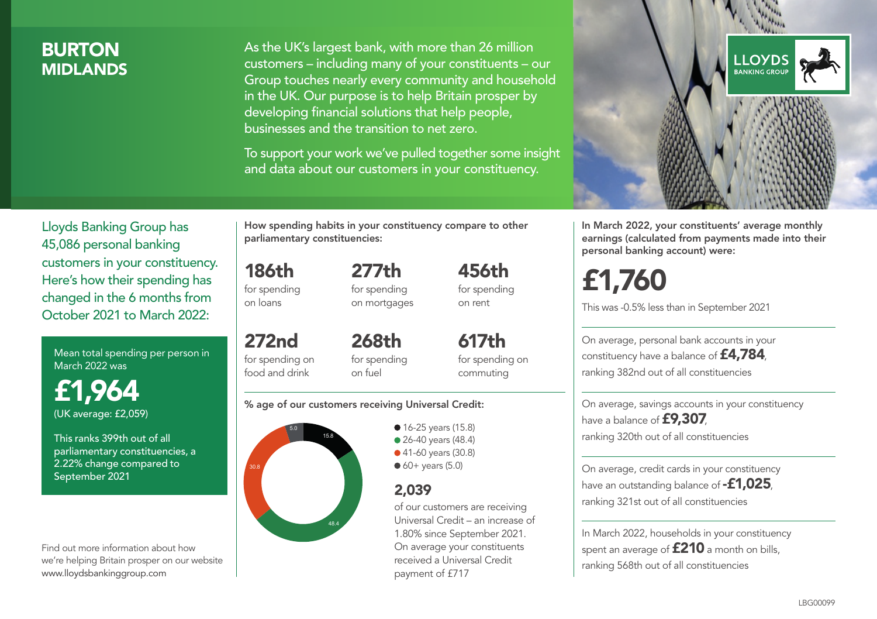### **BURTON MIDI ANDS**

As the UK's largest bank, with more than 26 million customers – including many of your constituents – our Group touches nearly every community and household in the UK. Our purpose is to help Britain prosper by developing financial solutions that help people, businesses and the transition to net zero.

To support your work we've pulled together some insight and data about our customers in your constituency.



In March 2022, your constituents' average monthly earnings (calculated from payments made into their personal banking account) were:

# £1,760

This was -0.5% less than in September 2021

On average, personal bank accounts in your constituency have a balance of £4,784, ranking 382nd out of all constituencies

On average, savings accounts in your constituency have a balance of £9,307, ranking 320th out of all constituencies

On average, credit cards in your constituency have an outstanding balance of **-£1,025** ranking 321st out of all constituencies

In March 2022, households in your constituency spent an average of £210 a month on bills, ranking 568th out of all constituencies

Lloyds Banking Group has 45,086 personal banking customers in your constituency. Here's how their spending has changed in the 6 months from October 2021 to March 2022:

Mean total spending per person in March 2022 was

£1,964 (UK average: £2,059)

This ranks 399th out of all parliamentary constituencies, a 2.22% change compared to September 2021

Find out more information about how we're helping Britain prosper on our website www.lloydsbankinggroup.com

How spending habits in your constituency compare to other parliamentary constituencies:

186th for spending on loans

272nd for spending on food and drink

for spending on mortgages

277th

456th for spending on rent

268th for spending on fuel

617th for spending on commuting

#### % age of our customers receiving Universal Credit:



• 16-25 years (15.8) • 26-40 years (48.4) ● 41-60 years (30.8)  $60+$  years (5.0)

### 2,039

of our customers are receiving Universal Credit – an increase of 1.80% since September 2021. On average your constituents received a Universal Credit payment of £717